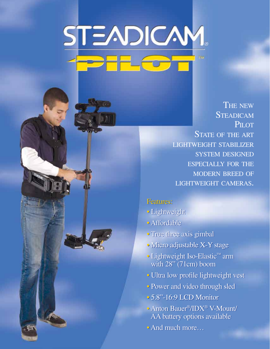# STEADICAM

THE NEW **STEADICAM** PILOT STATE OF THE ART lightweight stabilizer system designed especially for the modern breed of lightweight cameras.

### Features: Features:

- Lightweight Lightweight
- Affordable Affordable
- True three axis gimbal True three axis gimbal
- Micro adjustable X-Y stage Micro adjustable X-Y stage
- Lightweight Iso-Elastic™ arm Lightweight Iso-Elastic™ arm with 28" (71cm) boom with 28" (71cm) boom
- Ultra low profile lightweight vest Ultra low profile lightweight vest
- Power and video through sled Power and video through sled
- 5.8"-16:9 LCD Monitor 5.8"-16:9 LCD Monitor
- Anton Bauer®/IDX® V-Mount/ Anton Bauer®/IDX® V-Mount/ AA battery options available AA battery options available
- And much more… And much more…